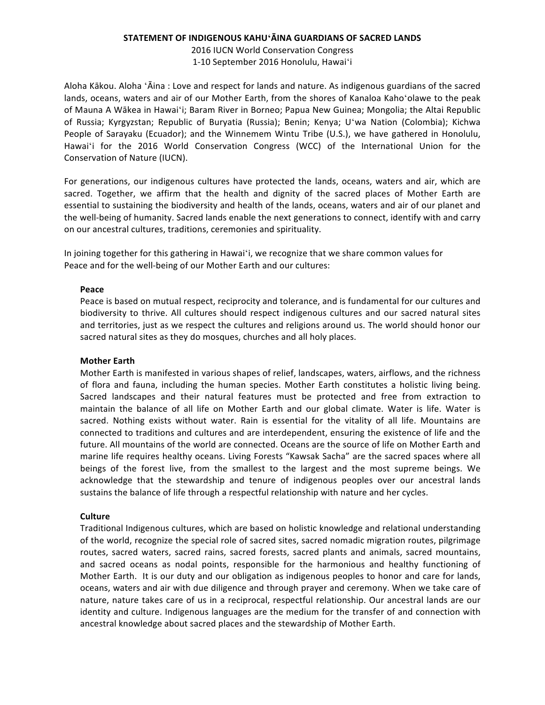## **STATEMENT OF INDIGENOUS KAHUʻĀINA GUARDIANS OF SACRED LANDS**

2016 IUCN World Conservation Congress 1-10 September 2016 Honolulu, Hawai'i

Aloha Kākou. Aloha 'Āina : Love and respect for lands and nature. As indigenous guardians of the sacred lands, oceans, waters and air of our Mother Earth, from the shores of Kanaloa Kaho'olawe to the peak of Mauna A Wākea in Hawai'i; Baram River in Borneo; Papua New Guinea; Mongolia; the Altai Republic of Russia; Kyrgyzstan; Republic of Buryatia (Russia); Benin; Kenya; Uʻwa Nation (Colombia); Kichwa People of Sarayaku (Ecuador); and the Winnemem Wintu Tribe (U.S.), we have gathered in Honolulu, Hawai'i for the 2016 World Conservation Congress (WCC) of the International Union for the Conservation of Nature (IUCN).

For generations, our indigenous cultures have protected the lands, oceans, waters and air, which are sacred. Together, we affirm that the health and dignity of the sacred places of Mother Earth are essential to sustaining the biodiversity and health of the lands, oceans, waters and air of our planet and the well-being of humanity. Sacred lands enable the next generations to connect, identify with and carry on our ancestral cultures, traditions, ceremonies and spirituality.

In joining together for this gathering in Hawai'i, we recognize that we share common values for Peace and for the well-being of our Mother Earth and our cultures:

## **Peace**

Peace is based on mutual respect, reciprocity and tolerance, and is fundamental for our cultures and biodiversity to thrive. All cultures should respect indigenous cultures and our sacred natural sites and territories, just as we respect the cultures and religions around us. The world should honor our sacred natural sites as they do mosques, churches and all holy places.

## **Mother Earth**

Mother Earth is manifested in various shapes of relief, landscapes, waters, airflows, and the richness of flora and fauna, including the human species. Mother Earth constitutes a holistic living being. Sacred landscapes and their natural features must be protected and free from extraction to maintain the balance of all life on Mother Earth and our global climate. Water is life. Water is sacred. Nothing exists without water. Rain is essential for the vitality of all life. Mountains are connected to traditions and cultures and are interdependent, ensuring the existence of life and the future. All mountains of the world are connected. Oceans are the source of life on Mother Earth and marine life requires healthy oceans. Living Forests "Kawsak Sacha" are the sacred spaces where all beings of the forest live, from the smallest to the largest and the most supreme beings. We acknowledge that the stewardship and tenure of indigenous peoples over our ancestral lands sustains the balance of life through a respectful relationship with nature and her cycles.

## **Culture**

Traditional Indigenous cultures, which are based on holistic knowledge and relational understanding of the world, recognize the special role of sacred sites, sacred nomadic migration routes, pilgrimage routes, sacred waters, sacred rains, sacred forests, sacred plants and animals, sacred mountains, and sacred oceans as nodal points, responsible for the harmonious and healthy functioning of Mother Earth. It is our duty and our obligation as indigenous peoples to honor and care for lands, oceans, waters and air with due diligence and through prayer and ceremony. When we take care of nature, nature takes care of us in a reciprocal, respectful relationship. Our ancestral lands are our identity and culture. Indigenous languages are the medium for the transfer of and connection with ancestral knowledge about sacred places and the stewardship of Mother Earth.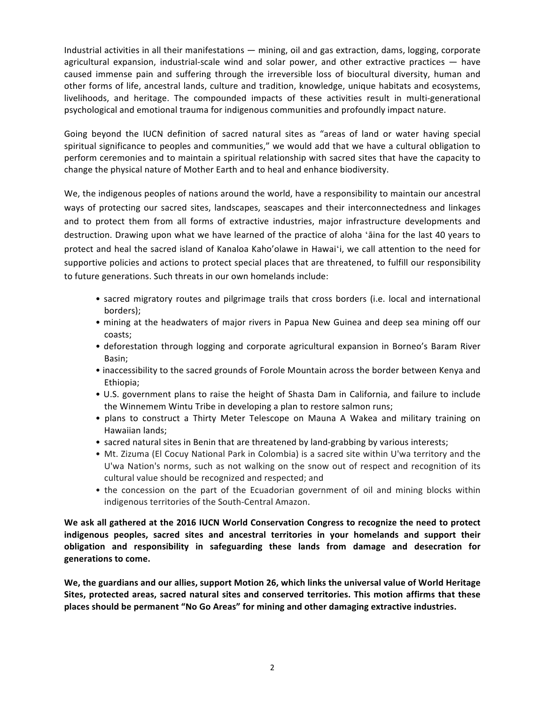Industrial activities in all their manifestations — mining, oil and gas extraction, dams, logging, corporate agricultural expansion, industrial-scale wind and solar power, and other extractive practices  $-$  have caused immense pain and suffering through the irreversible loss of biocultural diversity, human and other forms of life, ancestral lands, culture and tradition, knowledge, unique habitats and ecosystems, livelihoods, and heritage. The compounded impacts of these activities result in multi-generational psychological and emotional trauma for indigenous communities and profoundly impact nature.

Going beyond the IUCN definition of sacred natural sites as "areas of land or water having special spiritual significance to peoples and communities," we would add that we have a cultural obligation to perform ceremonies and to maintain a spiritual relationship with sacred sites that have the capacity to change the physical nature of Mother Earth and to heal and enhance biodiversity.

We, the indigenous peoples of nations around the world, have a responsibility to maintain our ancestral ways of protecting our sacred sites, landscapes, seascapes and their interconnectedness and linkages and to protect them from all forms of extractive industries, major infrastructure developments and destruction. Drawing upon what we have learned of the practice of aloha ʻāina for the last 40 years to protect and heal the sacred island of Kanaloa Kaho'olawe in Hawaiʻi, we call attention to the need for supportive policies and actions to protect special places that are threatened, to fulfill our responsibility to future generations. Such threats in our own homelands include:

- sacred migratory routes and pilgrimage trails that cross borders (i.e. local and international borders);
- mining at the headwaters of major rivers in Papua New Guinea and deep sea mining off our coasts;
- deforestation through logging and corporate agricultural expansion in Borneo's Baram River Basin;
- inaccessibility to the sacred grounds of Forole Mountain across the border between Kenya and Ethiopia;
- U.S. government plans to raise the height of Shasta Dam in California, and failure to include the Winnemem Wintu Tribe in developing a plan to restore salmon runs;
- plans to construct a Thirty Meter Telescope on Mauna A Wakea and military training on Hawaiian lands;
- sacred natural sites in Benin that are threatened by land-grabbing by various interests;
- Mt. Zizuma (El Cocuy National Park in Colombia) is a sacred site within U'wa territory and the U'wa Nation's norms, such as not walking on the snow out of respect and recognition of its cultural value should be recognized and respected; and
- the concession on the part of the Ecuadorian government of oil and mining blocks within indigenous territories of the South-Central Amazon.

We ask all gathered at the 2016 IUCN World Conservation Congress to recognize the need to protect indigenous peoples, sacred sites and ancestral territories in your homelands and support their **obligation and responsibility in safeguarding these lands from damage and desecration for generations to come.**

We, the guardians and our allies, support Motion 26, which links the universal value of World Heritage **Sites, protected areas, sacred natural sites and conserved territories. This motion affirms that these** places should be permanent "No Go Areas" for mining and other damaging extractive industries.